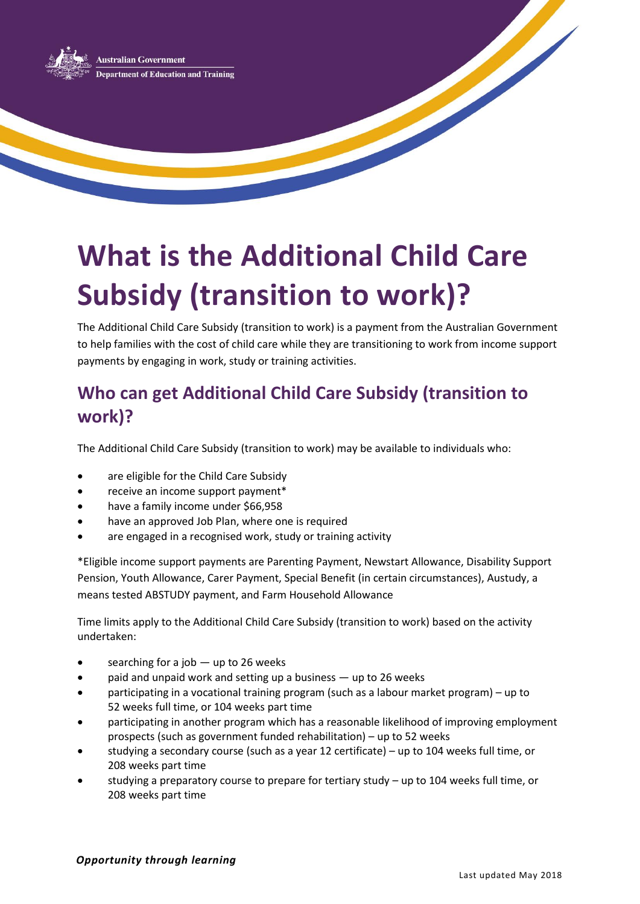

# **What is the Additional Child Care Subsidy (transition to work)?**

The Additional Child Care Subsidy (transition to work) is a payment from the Australian Government to help families with the cost of child care while they are transitioning to work from income support payments by engaging in work, study or training activities.

# **Who can get Additional Child Care Subsidy (transition to work)?**

The Additional Child Care Subsidy (transition to work) may be available to individuals who:

- are eligible for the Child Care Subsidy
- receive an income support payment\*
- have a family income under \$66,958
- have an approved Job Plan, where one is required
- are engaged in a recognised work, study or training activity

\*Eligible income support payments are Parenting Payment, Newstart Allowance, Disability Support Pension, Youth Allowance, Carer Payment, Special Benefit (in certain circumstances), Austudy, a means tested ABSTUDY payment, and Farm Household Allowance

Time limits apply to the Additional Child Care Subsidy (transition to work) based on the activity undertaken:

- searching for a job up to 26 weeks
- paid and unpaid work and setting up a business up to 26 weeks
- participating in a vocational training program (such as a labour market program) up to 52 weeks full time, or 104 weeks part time
- participating in another program which has a reasonable likelihood of improving employment prospects (such as government funded rehabilitation) – up to 52 weeks
- studying a secondary course (such as a year 12 certificate) up to 104 weeks full time, or 208 weeks part time
- studying a preparatory course to prepare for tertiary study up to 104 weeks full time, or 208 weeks part time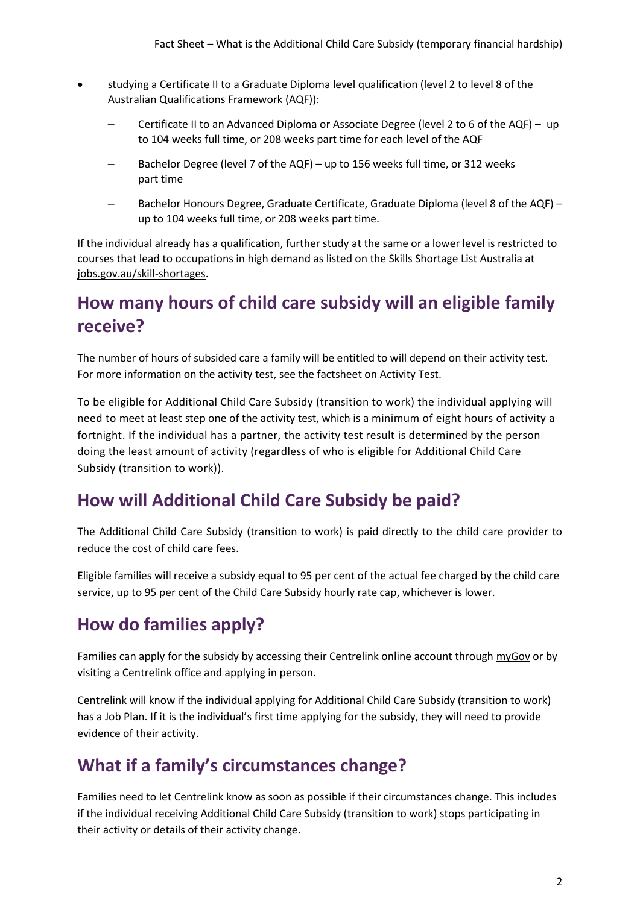- studying a Certificate II to a Graduate Diploma level qualification (level 2 to level 8 of the Australian Qualifications Framework (AQF)):
	- Certificate II to an Advanced Diploma or Associate Degree (level 2 to 6 of the AQF) up to 104 weeks full time, or 208 weeks part time for each level of the AQF
	- Bachelor Degree (level 7 of the AQF) up to 156 weeks full time, or 312 weeks part time
	- Bachelor Honours Degree, Graduate Certificate, Graduate Diploma (level 8 of the AQF) up to 104 weeks full time, or 208 weeks part time.

If the individual already has a qualification, further study at the same or a lower level is restricted to courses that lead to occupations in high demand as listed on the Skills Shortage List Australia at [jobs.gov.au/skill-shortages.](http://www.jobs.gov.au/skill-shortages)

#### **How many hours of child care subsidy will an eligible family receive?**

The number of hours of subsided care a family will be entitled to will depend on their activity test. For more information on the activity test, see the factsheet on Activity Test.

To be eligible for Additional Child Care Subsidy (transition to work) the individual applying will need to meet at least step one of the activity test, which is a minimum of eight hours of activity a fortnight. If the individual has a partner, the activity test result is determined by the person doing the least amount of activity (regardless of who is eligible for Additional Child Care Subsidy (transition to work)).

#### **How will Additional Child Care Subsidy be paid?**

The Additional Child Care Subsidy (transition to work) is paid directly to the child care provider to reduce the cost of child care fees.

Eligible families will receive a subsidy equal to 95 per cent of the actual fee charged by the child care service, up to 95 per cent of the Child Care Subsidy hourly rate cap, whichever is lower.

## **How do families apply?**

Families can apply for the subsidy by accessing their Centrelink online account throug[h myGov](https://my.gov.au/LoginServices/main/login?execution=e1s1) or by visiting a Centrelink office and applying in person.

Centrelink will know if the individual applying for Additional Child Care Subsidy (transition to work) has a Job Plan. If it is the individual's first time applying for the subsidy, they will need to provide evidence of their activity.

## **What if a family's circumstances change?**

Families need to let Centrelink know as soon as possible if their circumstances change. This includes if the individual receiving Additional Child Care Subsidy (transition to work) stops participating in their activity or details of their activity change.